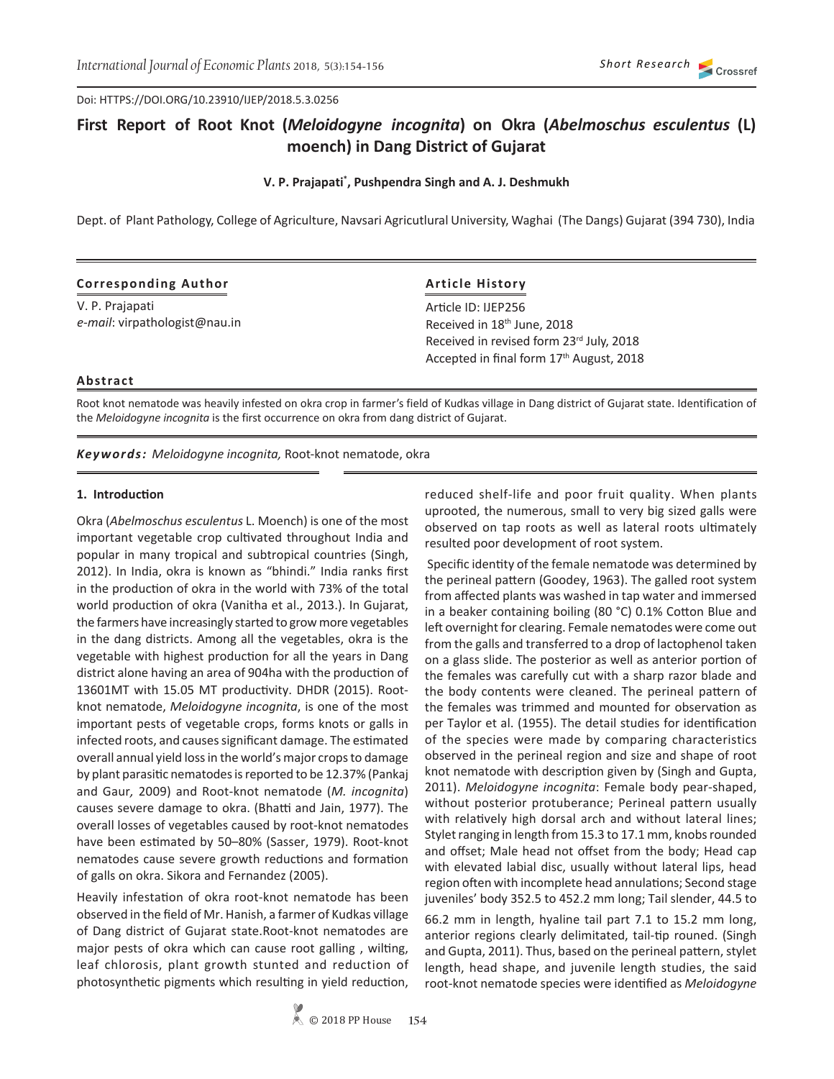Doi: HTTPS://DOI.ORG/10.23910/IJEP/2018.5.3.0256

# **First Report of Root Knot (***Meloidogyne incognita***) on Okra (***Abelmoschus esculentus* **(L) moench) in Dang District of Gujarat**

#### **V. P. Prajapati\* , Pushpendra Singh and A. J. Deshmukh**

Dept. of Plant Pathology, College of Agriculture, Navsari Agricutlural University, Waghai (The Dangs) Gujarat (394 730), India

#### **Corresponding Author**

V. P. Prajapati *e-mail*: virpathologist@nau.in

# **Article History**

Article ID: IJEP256 Received in 18th June, 2018 Received in revised form 23rd July, 2018 Accepted in final form 17<sup>th</sup> August, 2018

## **Abstract**

Root knot nematode was heavily infested on okra crop in farmer's field of Kudkas village in Dang district of Gujarat state. Identification of the *Meloidogyne incognita* is the first occurrence on okra from dang district of Gujarat.

*Keywords: Meloidogyne incognita,* Root-knot nematode, okra

## **1. Introduction**

Okra (*Abelmoschus esculentus* L. Moench) is one of the most important vegetable crop cultivated throughout India and popular in many tropical and subtropical countries (Singh, 2012). In India, okra is known as "bhindi." India ranks first in the production of okra in the world with 73% of the total world production of okra (Vanitha et al., 2013.). In Gujarat, the farmers have increasingly started to grow more vegetables in the dang districts. Among all the vegetables, okra is the vegetable with highest production for all the years in Dang district alone having an area of 904ha with the production of 13601MT with 15.05 MT productivity. DHDR (2015). Rootknot nematode, *Meloidogyne incognita*, is one of the most important pests of vegetable crops, forms knots or galls in infected roots, and causes significant damage. The estimated overall annual yield loss in the world's major crops to damage by plant parasitic nematodes is reported to be 12.37% (Pankaj and Gaur*,* 2009) and Root-knot nematode (*M. incognita*) causes severe damage to okra. (Bhatti and Jain, 1977). The overall losses of vegetables caused by root-knot nematodes have been estimated by 50–80% (Sasser, 1979). Root-knot nematodes cause severe growth reductions and formation of galls on okra. Sikora and Fernandez (2005).

Heavily infestation of okra root-knot nematode has been observed in the field of Mr. Hanish, a farmer of Kudkas village of Dang district of Gujarat state.Root-knot nematodes are major pests of okra which can cause root galling , wilting, leaf chlorosis, plant growth stunted and reduction of photosynthetic pigments which resulting in yield reduction,

reduced shelf-life and poor fruit quality. When plants uprooted, the numerous, small to very big sized galls were observed on tap roots as well as lateral roots ultimately resulted poor development of root system.

 Specific identity of the female nematode was determined by the perineal pattern (Goodey, 1963). The galled root system from affected plants was washed in tap water and immersed in a beaker containing boiling (80 °C) 0.1% Cotton Blue and left overnight for clearing. Female nematodes were come out from the galls and transferred to a drop of lactophenol taken on a glass slide. The posterior as well as anterior portion of the females was carefully cut with a sharp razor blade and the body contents were cleaned. The perineal pattern of the females was trimmed and mounted for observation as per Taylor et al. (1955). The detail studies for identification of the species were made by comparing characteristics observed in the perineal region and size and shape of root knot nematode with description given by (Singh and Gupta, 2011). *Meloidogyne incognita*: Female body pear-shaped, without posterior protuberance; Perineal pattern usually with relatively high dorsal arch and without lateral lines; Stylet ranging in length from 15.3 to 17.1 mm, knobs rounded and offset; Male head not offset from the body; Head cap with elevated labial disc, usually without lateral lips, head region often with incomplete head annulations; Second stage juveniles' body 352.5 to 452.2 mm long; Tail slender, 44.5 to

66.2 mm in length, hyaline tail part 7.1 to 15.2 mm long, anterior regions clearly delimitated, tail-tip rouned. (Singh and Gupta, 2011). Thus, based on the perineal pattern, stylet length, head shape, and juvenile length studies, the said root-knot nematode species were identified as *Meloidogyne*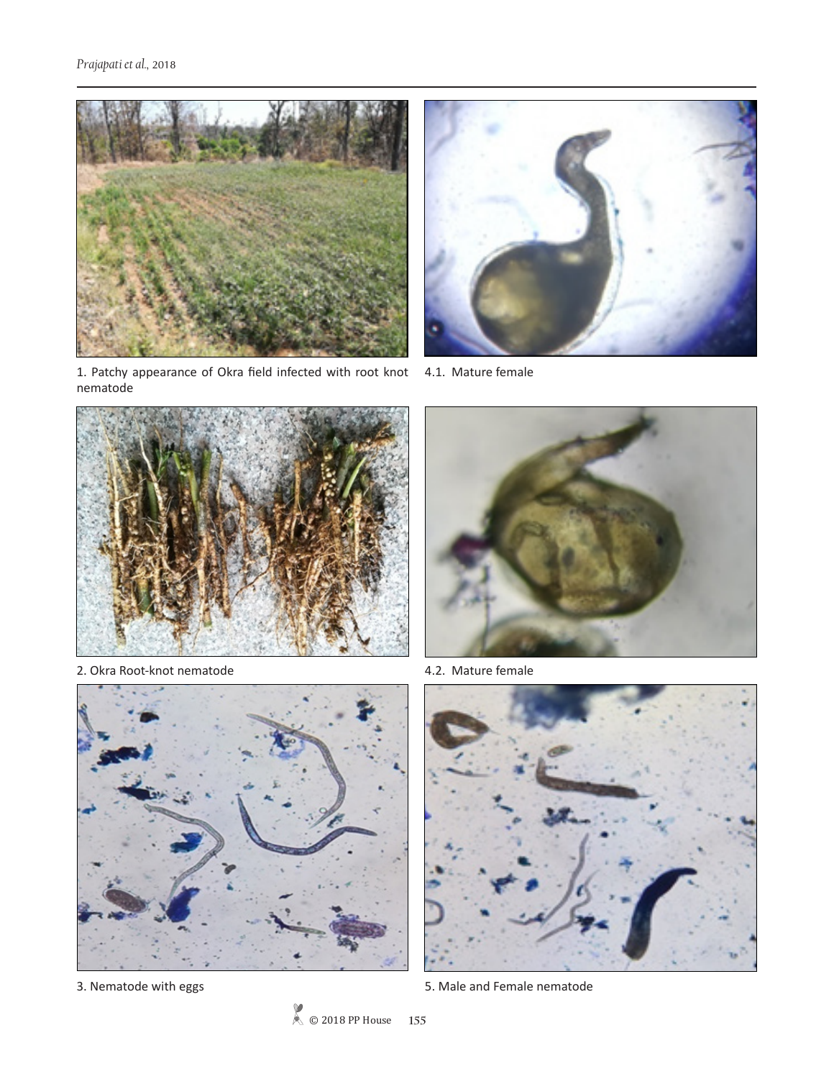

1. Patchy appearance of Okra field infected with root knot nematode



4.1. Mature female



2. Okra Root-knot nematode 4.2. Mature female







3. Nematode with eggs strategies and South and Female nematode

© 2018 PP House **155**